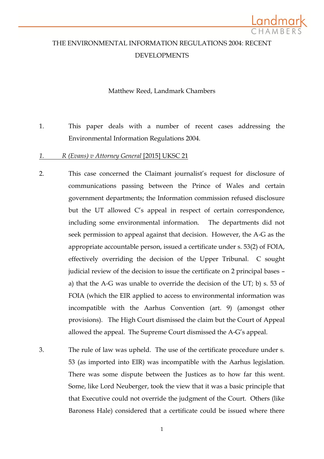

# THE ENVIRONMENTAL INFORMATION REGULATIONS 2004: RECENT DEVELOPMENTS

### Matthew Reed, Landmark Chambers

- 1. This paper deals with a number of recent cases addressing the Environmental Information Regulations 2004.
- *1. R (Evans) v Attorney General* [2015] UKSC 21
- 2. This case concerned the Claimant journalist's request for disclosure of communications passing between the Prince of Wales and certain government departments; the Information commission refused disclosure but the UT allowed C's appeal in respect of certain correspondence, including some environmental information. The departments did not seek permission to appeal against that decision. However, the A-G as the appropriate accountable person, issued a certificate under s. 53(2) of FOIA, effectively overriding the decision of the Upper Tribunal. C sought judicial review of the decision to issue the certificate on 2 principal bases – a) that the A-G was unable to override the decision of the UT; b) s. 53 of FOIA (which the EIR applied to access to environmental information was incompatible with the Aarhus Convention (art. 9) (amongst other provisions). The High Court dismissed the claim but the Court of Appeal allowed the appeal. The Supreme Court dismissed the A-G's appeal.
- 3. The rule of law was upheld. The use of the certificate procedure under s. 53 (as imported into EIR) was incompatible with the Aarhus legislation. There was some dispute between the Justices as to how far this went. Some, like Lord Neuberger, took the view that it was a basic principle that that Executive could not override the judgment of the Court. Others (like Baroness Hale) considered that a certificate could be issued where there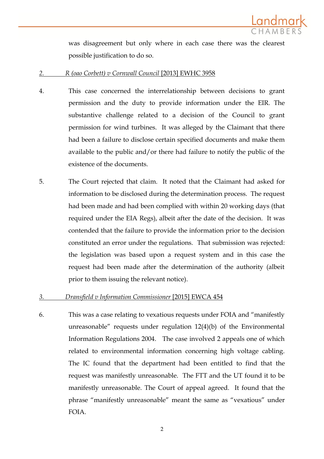

was disagreement but only where in each case there was the clearest possible justification to do so.

- *2. R (oao Corbett) v Cornwall Council* [2013] EWHC 3958
- 4. This case concerned the interrelationship between decisions to grant permission and the duty to provide information under the EIR. The substantive challenge related to a decision of the Council to grant permission for wind turbines. It was alleged by the Claimant that there had been a failure to disclose certain specified documents and make them available to the public and/or there had failure to notify the public of the existence of the documents.
- 5. The Court rejected that claim. It noted that the Claimant had asked for information to be disclosed during the determination process. The request had been made and had been complied with within 20 working days (that required under the EIA Regs), albeit after the date of the decision. It was contended that the failure to provide the information prior to the decision constituted an error under the regulations. That submission was rejected: the legislation was based upon a request system and in this case the request had been made after the determination of the authority (albeit prior to them issuing the relevant notice).

# *3. Dransfield v Information Commissioner* [2015] EWCA 454

6. This was a case relating to vexatious requests under FOIA and "manifestly unreasonable" requests under regulation 12(4)(b) of the Environmental Information Regulations 2004. The case involved 2 appeals one of which related to environmental information concerning high voltage cabling. The IC found that the department had been entitled to find that the request was manifestly unreasonable. The FTT and the UT found it to be manifestly unreasonable. The Court of appeal agreed. It found that the phrase "manifestly unreasonable" meant the same as "vexatious" under FOIA.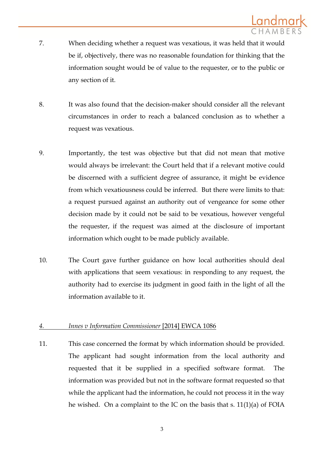- 7. When deciding whether a request was vexatious, it was held that it would be if, objectively, there was no reasonable foundation for thinking that the information sought would be of value to the requester, or to the public or any section of it.
- 8. It was also found that the decision-maker should consider all the relevant circumstances in order to reach a balanced conclusion as to whether a request was vexatious.
- 9. Importantly, the test was objective but that did not mean that motive would always be irrelevant: the Court held that if a relevant motive could be discerned with a sufficient degree of assurance, it might be evidence from which vexatiousness could be inferred. But there were limits to that: a request pursued against an authority out of vengeance for some other decision made by it could not be said to be vexatious, however vengeful the requester, if the request was aimed at the disclosure of important information which ought to be made publicly available.
- 10. The Court gave further guidance on how local authorities should deal with applications that seem vexatious: in responding to any request, the authority had to exercise its judgment in good faith in the light of all the information available to it.

# *4. Innes v Information Commissioner* [2014] EWCA 1086

11. This case concerned the format by which information should be provided. The applicant had sought information from the local authority and requested that it be supplied in a specified software format. The information was provided but not in the software format requested so that while the applicant had the information, he could not process it in the way he wished. On a complaint to the IC on the basis that s. 11(1)(a) of FOIA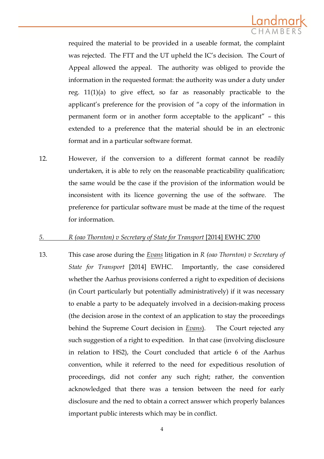

required the material to be provided in a useable format, the complaint was rejected. The FTT and the UT upheld the IC's decision. The Court of Appeal allowed the appeal. The authority was obliged to provide the information in the requested format: the authority was under a duty under reg. 11(1)(a) to give effect, so far as reasonably practicable to the applicant's preference for the provision of "a copy of the information in permanent form or in another form acceptable to the applicant" – this extended to a preference that the material should be in an electronic format and in a particular software format.

12. However, if the conversion to a different format cannot be readily undertaken, it is able to rely on the reasonable practicability qualification; the same would be the case if the provision of the information would be inconsistent with its licence governing the use of the software. The preference for particular software must be made at the time of the request for information.

#### *5. R (oao Thornton) v Secretary of State for Transport* [2014] EWHC 2700

13. This case arose during the *Evans* litigation in *R (oao Thornton) v Secretary of State for Transport* [2014] EWHC. Importantly, the case considered whether the Aarhus provisions conferred a right to expedition of decisions (in Court particularly but potentially administratively) if it was necessary to enable a party to be adequately involved in a decision-making process (the decision arose in the context of an application to stay the proceedings behind the Supreme Court decision in *Evans*). The Court rejected any such suggestion of a right to expedition. In that case (involving disclosure in relation to HS2), the Court concluded that article 6 of the Aarhus convention, while it referred to the need for expeditious resolution of proceedings, did not confer any such right; rather, the convention acknowledged that there was a tension between the need for early disclosure and the ned to obtain a correct answer which properly balances important public interests which may be in conflict.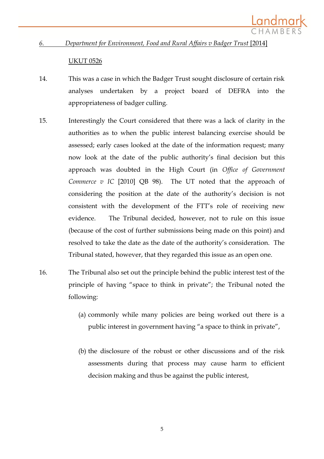

#### *6. Department for Environment, Food and Rural Affairs v Badger Trust* [2014]

#### UKUT 0526

- 14. This was a case in which the Badger Trust sought disclosure of certain risk analyses undertaken by a project board of DEFRA into the appropriateness of badger culling.
- 15. Interestingly the Court considered that there was a lack of clarity in the authorities as to when the public interest balancing exercise should be assessed; early cases looked at the date of the information request; many now look at the date of the public authority's final decision but this approach was doubted in the High Court (in *Office of Government Commerce v* IC [2010] QB 98). The UT noted that the approach of considering the position at the date of the authority's decision is not consistent with the development of the FTT's role of receiving new evidence. The Tribunal decided, however, not to rule on this issue (because of the cost of further submissions being made on this point) and resolved to take the date as the date of the authority's consideration. The Tribunal stated, however, that they regarded this issue as an open one.
- 16. The Tribunal also set out the principle behind the public interest test of the principle of having "space to think in private"; the Tribunal noted the following:
	- (a) commonly while many policies are being worked out there is a public interest in government having "a space to think in private",
	- (b) the disclosure of the robust or other discussions and of the risk assessments during that process may cause harm to efficient decision making and thus be against the public interest,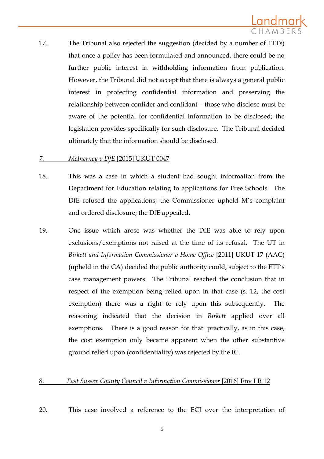17. The Tribunal also rejected the suggestion (decided by a number of FTTs) that once a policy has been formulated and announced, there could be no further public interest in withholding information from publication. However, the Tribunal did not accept that there is always a general public interest in protecting confidential information and preserving the relationship between confider and confidant – those who disclose must be aware of the potential for confidential information to be disclosed; the legislation provides specifically for such disclosure. The Tribunal decided ultimately that the information should be disclosed.

# *7. McInerney v DfE* [2015] UKUT 0047

- 18. This was a case in which a student had sought information from the Department for Education relating to applications for Free Schools. The DfE refused the applications; the Commissioner upheld M's complaint and ordered disclosure; the DfE appealed.
- 19. One issue which arose was whether the DfE was able to rely upon exclusions/exemptions not raised at the time of its refusal. The UT in *Birkett and Information Commissioner v Home Office* [2011] UKUT 17 (AAC) (upheld in the CA) decided the public authority could, subject to the FTT's case management powers. The Tribunal reached the conclusion that in respect of the exemption being relied upon in that case (s. 12, the cost exemption) there was a right to rely upon this subsequently. The reasoning indicated that the decision in *Birkett* applied over all exemptions. There is a good reason for that: practically, as in this case, the cost exemption only became apparent when the other substantive ground relied upon (confidentiality) was rejected by the IC.

# 8. *East Sussex County Council v Information Commissioner* [2016] Env LR 12

20. This case involved a reference to the ECJ over the interpretation of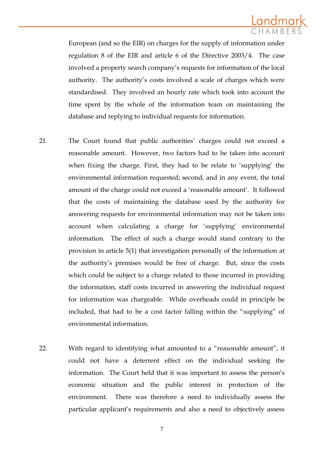

European (and so the EIR) on charges for the supply of information under regulation 8 of the EIR and article 6 of the Directive 2003/4. The case involved a property search company's requests for information of the local authority. The authority's costs involved a scale of charges which were standardised. They involved an hourly rate which took into account the time spent by the whole of the information team on maintaining the database and replying to individual requests for information.

- 21. The Court found that public authorities' charges could not exceed a reasonable amount. However, two factors had to be taken into account when fixing the charge. First, they had to be relate to 'supplying' the environmental information requested; second, and in any event, the total amount of the charge could not exceed a 'reasonable amount'. It followed that the costs of maintaining the database used by the authority for answering requests for environmental information may not be taken into account when calculating a charge for 'supplying' environmental information. The effect of such a charge would stand contrary to the provision in article 5(1) that investigation personally of the information at the authority's premises would be free of charge. But, since the costs which could be subject to a charge related to those incurred in providing the information, staff costs incurred in answering the individual request for information was chargeable. While overheads could in principle be included, that had to be a cost factor falling within the "supplying" of environmental information.
- 22. With regard to identifying what amounted to a "reasonable amount", it could not have a deterrent effect on the individual seeking the information. The Court held that it was important to assess the person's economic situation and the public interest in protection of the environment. There was therefore a need to individually assess the particular applicant's requirements and also a need to objectively assess

7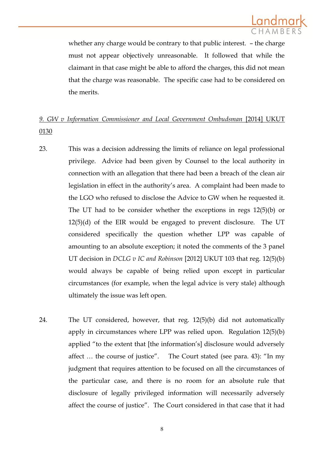

whether any charge would be contrary to that public interest. – the charge must not appear objectively unreasonable. It followed that while the claimant in that case might be able to afford the charges, this did not mean that the charge was reasonable. The specific case had to be considered on the merits.

# *9. GW v Information Commissioner and Local Government Ombudsman* [2014] UKUT 0130

- 23. This was a decision addressing the limits of reliance on legal professional privilege. Advice had been given by Counsel to the local authority in connection with an allegation that there had been a breach of the clean air legislation in effect in the authority's area. A complaint had been made to the LGO who refused to disclose the Advice to GW when he requested it. The UT had to be consider whether the exceptions in regs 12(5)(b) or  $12(5)(d)$  of the EIR would be engaged to prevent disclosure. The UT considered specifically the question whether LPP was capable of amounting to an absolute exception; it noted the comments of the 3 panel UT decision in *DCLG v IC and Robinson* [2012] UKUT 103 that reg. 12(5)(b) would always be capable of being relied upon except in particular circumstances (for example, when the legal advice is very stale) although ultimately the issue was left open.
- 24. The UT considered, however, that reg. 12(5)(b) did not automatically apply in circumstances where LPP was relied upon. Regulation 12(5)(b) applied "to the extent that [the information's] disclosure would adversely affect … the course of justice". The Court stated (see para. 43): "In my judgment that requires attention to be focused on all the circumstances of the particular case, and there is no room for an absolute rule that disclosure of legally privileged information will necessarily adversely affect the course of justice". The Court considered in that case that it had